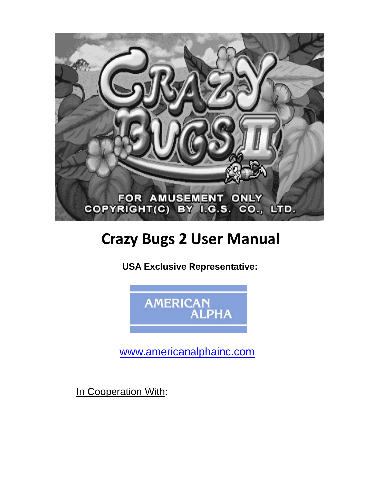

## **Crazy Bugs 2 User Manual**

 **USA Exclusive Representative:** 



www.americanalphainc.com

In Cooperation With: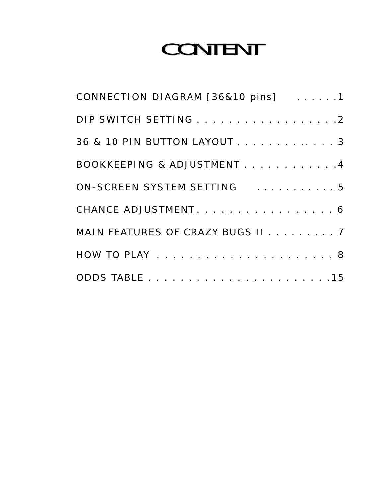## CONTENT

| CONNECTION DIAGRAM [36&10 pins] 1              |
|------------------------------------------------|
| DIP SWITCH SETTING 2                           |
| 36 & 10 PIN BUTTON LAYOUT 3                    |
| BOOKKEEPING & ADJUSTMENT 4                     |
| ON-SCREEN SYSTEM SETTING And All Andrew Street |
| CHANCE ADJUSTMENT. 6                           |
| MAIN FEATURES OF CRAZY BUGS II 7               |
|                                                |
|                                                |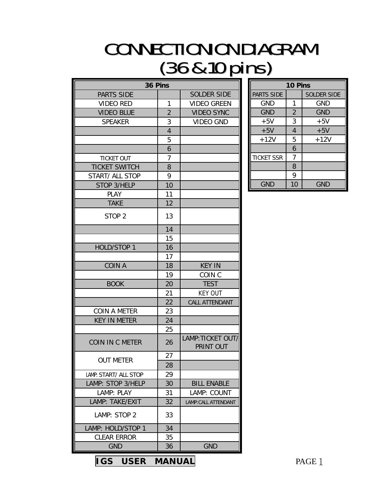## **CONNECTIONION DIAGRAM** (36&10pins)

| 36 Pins                |                |                                |  |  |
|------------------------|----------------|--------------------------------|--|--|
| <b>PARTS SIDE</b>      |                | <b>SOLDER SIDE</b>             |  |  |
| <b>VIDEO RED</b>       | 1              | <b>VIDEO GREEN</b>             |  |  |
| <b>VIDEO BLUE</b>      | $\overline{2}$ | <b>VIDEO SYNC</b>              |  |  |
| <b>SPEAKER</b>         | 3              | <b>VIDEO GND</b>               |  |  |
|                        | $\overline{4}$ |                                |  |  |
|                        | 5              |                                |  |  |
|                        | 6              |                                |  |  |
| <b>TICKET OUT</b>      | 7              |                                |  |  |
| <b>TICKET SWITCH</b>   | 8              |                                |  |  |
| START/ ALL STOP        | 9              |                                |  |  |
| STOP 3/HELP            | 10             |                                |  |  |
| <b>PLAY</b>            | 11             |                                |  |  |
| <b>TAKE</b>            | 12             |                                |  |  |
| STOP <sub>2</sub>      | 13             |                                |  |  |
|                        | 14             |                                |  |  |
|                        | 15             |                                |  |  |
| <b>HOLD/STOP 1</b>     | 16             |                                |  |  |
|                        | 17             |                                |  |  |
| <b>COIN A</b>          | 18             | <b>KEY IN</b>                  |  |  |
|                        | 19             | COIN <sub>C</sub>              |  |  |
| <b>BOOK</b>            | 20             | <b>TEST</b>                    |  |  |
|                        | 21             | <b>KEY OUT</b>                 |  |  |
|                        | 22             | CALL ATTENDANT                 |  |  |
| <b>COIN A METER</b>    | 23             |                                |  |  |
| <b>KEY IN METER</b>    | 24             |                                |  |  |
|                        | 25             |                                |  |  |
| <b>COIN IN C METER</b> | 26             | LAMP: TICKET OUT/<br>PRINT OUT |  |  |
| out meter              | 27             |                                |  |  |
|                        | 28             |                                |  |  |
| LAMP: START/ ALL STOP  | 29             |                                |  |  |
| LAMP: STOP 3/HELP      | 30             | <b>BILL ENABLE</b>             |  |  |
| LAMP: PLAY             | 31             | LAMP: COUNT                    |  |  |
| LAMP: TAKE/EXIT        | 32             | <b>LAMP: CALL ATTENDANT</b>    |  |  |
| LAMP: STOP 2           | 33             |                                |  |  |
| LAMP: HOLD/STOP 1      | 34             |                                |  |  |
| <b>CLEAR ERROR</b>     | 35             |                                |  |  |
| <b>GND</b>             | 36             | <b>GND</b>                     |  |  |

| 10 Pins           |                |                    |  |  |
|-------------------|----------------|--------------------|--|--|
| PARTS SIDE        |                | <b>SOLDER SIDE</b> |  |  |
| <b>GND</b>        | 1              | <b>GND</b>         |  |  |
| <b>GND</b>        | $\overline{2}$ | <b>GND</b>         |  |  |
| $+5V$             | 3              | $+5V$              |  |  |
| $+5V$             | 4              | $+5V$              |  |  |
| $+12V$            | 5              | $+12V$             |  |  |
|                   | 6              |                    |  |  |
| <b>TICKET SSR</b> | 7              |                    |  |  |
|                   | 8              |                    |  |  |
|                   | 9              |                    |  |  |
| gnd               | 10             | GND                |  |  |

**IGS USER MANUAL** PAGE 1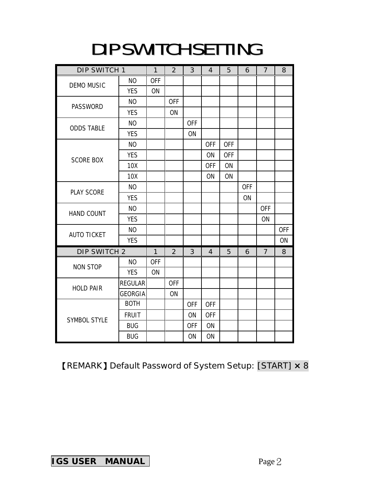## DIP SWITCH SETTING

| DIP SWITCH 1        |                | $\mathbf{1}$ | $\overline{2}$ | 3          | $\overline{4}$ | 5          | 6          | $\overline{7}$ | 8          |
|---------------------|----------------|--------------|----------------|------------|----------------|------------|------------|----------------|------------|
| <b>DEMO MUSIC</b>   | <b>NO</b>      | <b>OFF</b>   |                |            |                |            |            |                |            |
|                     | <b>YES</b>     | ON           |                |            |                |            |            |                |            |
|                     | N <sub>O</sub> |              | <b>OFF</b>     |            |                |            |            |                |            |
| PASSWORD            | <b>YES</b>     |              | ON             |            |                |            |            |                |            |
| <b>ODDS TABLE</b>   | N <sub>O</sub> |              |                | <b>OFF</b> |                |            |            |                |            |
|                     | <b>YES</b>     |              |                | ON         |                |            |            |                |            |
|                     | <b>NO</b>      |              |                |            | <b>OFF</b>     | <b>OFF</b> |            |                |            |
| <b>SCORE BOX</b>    | <b>YES</b>     |              |                |            | <b>ON</b>      | <b>OFF</b> |            |                |            |
|                     | 10X            |              |                |            | <b>OFF</b>     | ON         |            |                |            |
|                     | 10X            |              |                |            | ON             | ON         |            |                |            |
| <b>PLAY SCORE</b>   | N <sub>O</sub> |              |                |            |                |            | <b>OFF</b> |                |            |
|                     | <b>YES</b>     |              |                |            |                |            | ON         |                |            |
| <b>HAND COUNT</b>   | <b>NO</b>      |              |                |            |                |            |            | <b>OFF</b>     |            |
|                     | <b>YES</b>     |              |                |            |                |            |            | ON             |            |
| <b>AUTO TICKET</b>  | <b>NO</b>      |              |                |            |                |            |            |                | <b>OFF</b> |
|                     | <b>YES</b>     |              |                |            |                |            |            |                | ON         |
| DIP SWITCH 2        |                | 1            | 2              | 3          | 4              | 5          | 6          | 7              | 8          |
| <b>NON STOP</b>     | NO.            | <b>OFF</b>   |                |            |                |            |            |                |            |
|                     | <b>YES</b>     | ON           |                |            |                |            |            |                |            |
| <b>HOLD PAIR</b>    | <b>REGULAR</b> |              | <b>OFF</b>     |            |                |            |            |                |            |
|                     | <b>GEORGIA</b> |              | ON             |            |                |            |            |                |            |
| <b>SYMBOL STYLE</b> | <b>BOTH</b>    |              |                | <b>OFF</b> | <b>OFF</b>     |            |            |                |            |
|                     | <b>FRUIT</b>   |              |                | ON         | <b>OFF</b>     |            |            |                |            |
|                     | <b>BUG</b>     |              |                | <b>OFF</b> | <b>ON</b>      |            |            |                |            |
|                     | <b>BUG</b>     |              |                | ON         | ON             |            |            |                |            |

#### 【REMARK】Default Password of System Setup: [START] **×** 8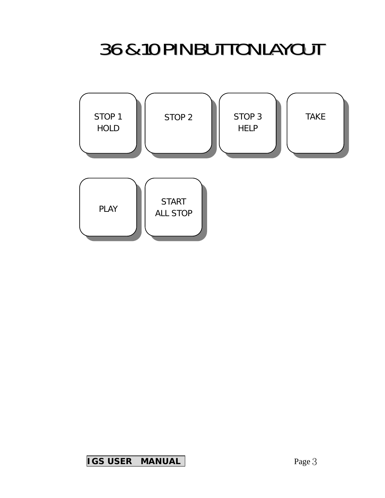## 36&10PINBUTTONLAYOUT

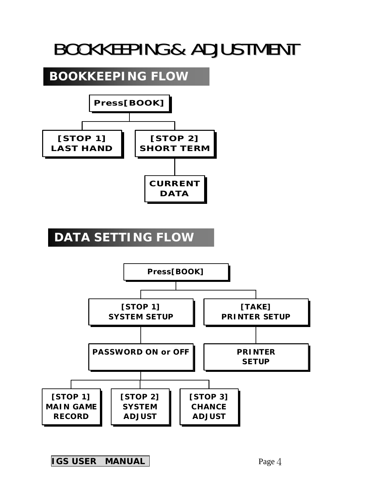## BOOKKEEPING& ADJUSTMENT

### **BOOKKEEPING FLOW**



### **DATA SETTING FLOW**

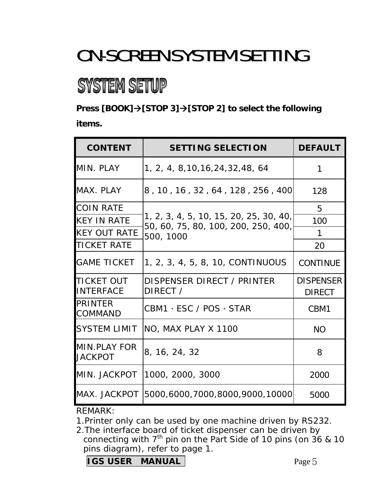## ON-SCREEN SYSTEM SETTING

## **SYSTEM SETUP**

**Press [BOOK]**  $\rightarrow$  **[STOP 3]**  $\rightarrow$  **[STOP 2] to select the following items.** 

| <b>CONTENT</b>                        | <b>SETTING SELECTION</b>                                                      | <b>DEFAULT</b>   |
|---------------------------------------|-------------------------------------------------------------------------------|------------------|
| MIN. PLAY                             | 1, 2, 4, 8, 10, 16, 24, 32, 48, 64                                            | 1                |
| MAX. PLAY                             | 8, 10, 16, 32, 64, 128, 256, 400                                              | 128              |
| <b>COIN RATE</b>                      |                                                                               | 5                |
| <b>KEY IN RATE</b>                    | 1, 2, 3, 4, 5, 10, 15, 20, 25, 30, 40,<br>50, 60, 75, 80, 100, 200, 250, 400, | 100              |
| <b>KEY OUT RATE</b>                   | 500, 1000                                                                     | 1                |
| <b>TICKET RATE</b>                    |                                                                               | 20               |
| <b>GAME TICKET</b>                    | 1, 2, 3, 4, 5, 8, 10, CONTINUOUS                                              | <b>CONTINUE</b>  |
| <b>TICKET OUT</b>                     | DISPENSER DIRECT / PRINTER                                                    | <b>DISPENSER</b> |
| <b>INTERFACE</b>                      | DIRECT /                                                                      | <b>DIRECT</b>    |
| <b>PRINTER</b><br><b>COMMAND</b>      | CBM1、ESC / POS、STAR                                                           | CBM1             |
| <b>SYSTEM LIMIT</b>                   | NO, MAX PLAY X 1100                                                           | <b>NO</b>        |
| <b>MIN.PLAY FOR</b><br><b>JACKPOT</b> | 8, 16, 24, 32                                                                 | 8                |
| MIN. JACKPOT                          | 1000, 2000, 3000                                                              | 2000             |
| MAX. JACKPOT                          | 5000,6000,7000,8000,9000,10000                                                | 5000             |

REMARK:

1.Printer only can be used by one machine driven by RS232.

2.The interface board of ticket dispenser can be driven by connecting with  $7<sup>th</sup>$  pin on the Part Side of 10 pins (on 36 & 10 pins diagram), refer to page 1.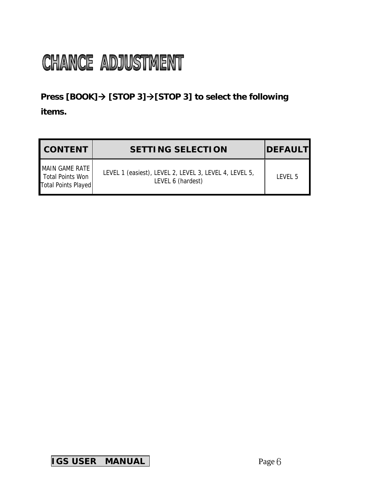# **CHANCE ADJUSTMENT**

#### **Press [BOOK]→ [STOP 3]→[STOP 3] to select the following items.**

| <b>CONTENT</b>                                            | <b>SETTING SELECTION</b>                                                    | <b>DEFAULT</b>     |
|-----------------------------------------------------------|-----------------------------------------------------------------------------|--------------------|
| MAIN GAME RATE<br>Total Points Won<br>Total Points Played | LEVEL 1 (easiest), LEVEL 2, LEVEL 3, LEVEL 4, LEVEL 5,<br>LEVEL 6 (hardest) | IFVFI <sub>5</sub> |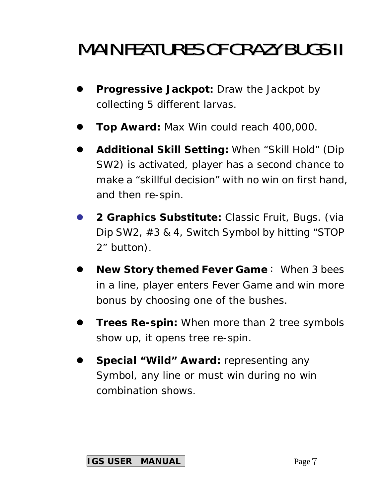## **MAIN FEATURES OF CRAZY BUGS II**

- **Progressive Jackpot:** Draw the Jackpot by collecting 5 different larvas.
- **Top Award: Max Win could reach 400,000.**
- z **Additional Skill Setting:** When "Skill Hold" (Dip SW2) is activated, player has a second chance to make a "skillful decision" with no win on first hand, and then re-spin.
- z **2 Graphics Substitute:** Classic Fruit, Bugs. (via Dip SW2, #3 & 4, Switch Symbol by hitting "STOP 2" button).
- **New Story themed Fever Game: When 3 bees** in a line, player enters Fever Game and win more bonus by choosing one of the bushes.
- **Trees Re-spin:** When more than 2 tree symbols show up, it opens tree re-spin.
- **Special "Wild" Award: representing any** Symbol, any line or must win during no win combination shows.

#### **IGS USER MANUAL**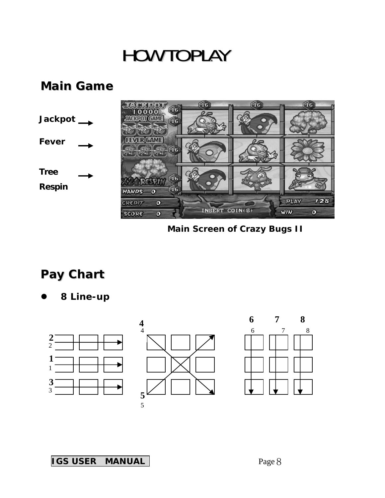### **HOW TO PLAY**

#### *Main Game*



**Main Screen of Crazy Bugs II** 

### *Pay Chart*

z **8 Line-up** 

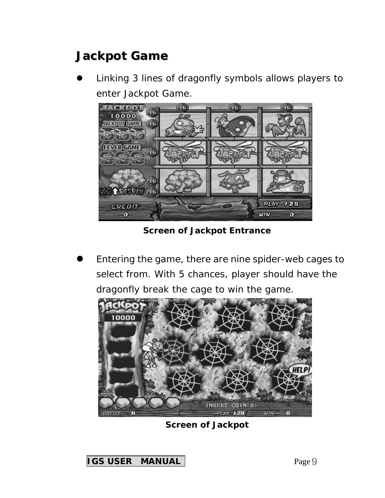### *Jackpot Game*

Linking 3 lines of dragonfly symbols allows players to enter Jackpot Game.



**Screen of Jackpot Entrance** 

Entering the game, there are nine spider-web cages to select from. With 5 chances, player should have the dragonfly break the cage to win the game.



**Screen of Jackpot**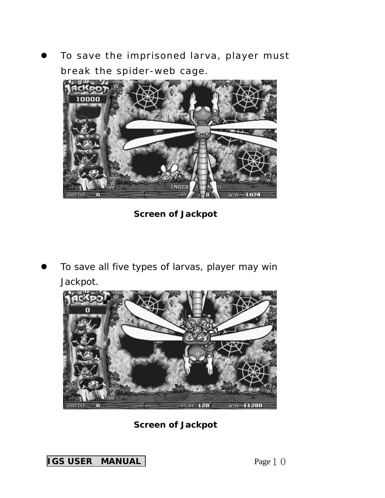To save the imprisoned larva, player must break the spider-web cage.



**Screen of Jackpot** 

To save all five types of larvas, player may win Jackpot.



**Screen of Jackpot**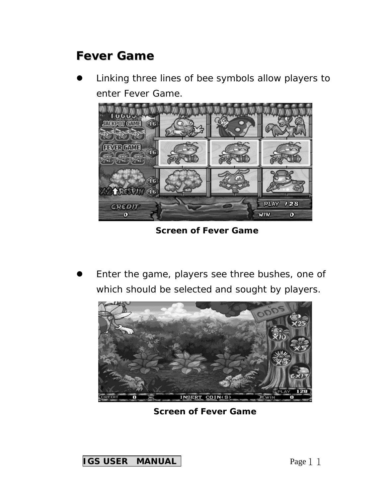### *Fever Game*

Linking three lines of bee symbols allow players to enter Fever Game.



**Screen of Fever Game** 

Enter the game, players see three bushes, one of which should be selected and sought by players.



**Screen of Fever Game** 

**IGS USER MANUAL Page 1** 1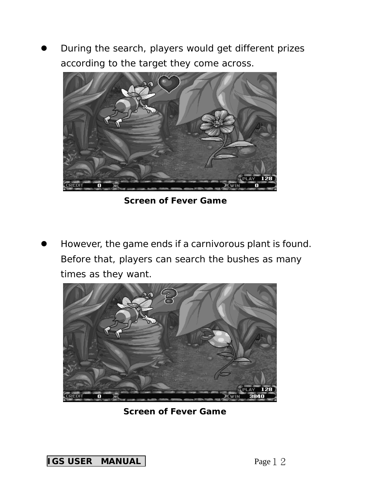During the search, players would get different prizes according to the target they come across.



**Screen of Fever Game** 

However, the game ends if a carnivorous plant is found. Before that, players can search the bushes as many times as they want.



**Screen of Fever Game** 

**IGS USER MANUAL Page 1 2**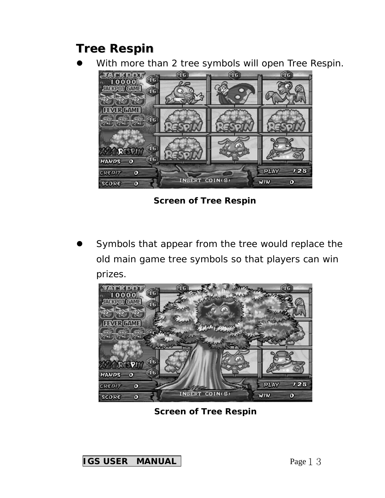### *Tree Respin*

With more than 2 tree symbols will open Tree Respin.



**Screen of Tree Respin** 

Symbols that appear from the tree would replace the old main game tree symbols so that players can win prizes.



**Screen of Tree Respin** 

**IGS USER MANUAL Page 1 3**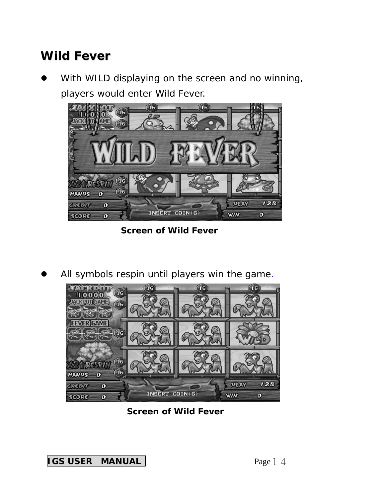### *Wild Fever*

With WILD displaying on the screen and no winning, players would enter Wild Fever.



**Screen of Wild Fever** 

All symbols respin until players win the game.



**Screen of Wild Fever**